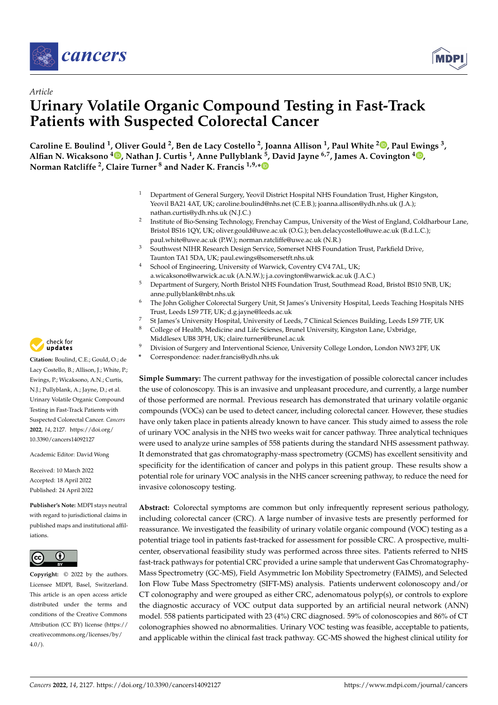



# *Article* **Urinary Volatile Organic Compound Testing in Fast-Track Patients with Suspected Colorectal Cancer**

**Caroline E. Boulind <sup>1</sup> , Oliver Gould <sup>2</sup> , Ben de Lacy Costello <sup>2</sup> , Joanna Allison <sup>1</sup> , Paul White <sup>2</sup> [,](https://orcid.org/0000-0002-7503-9896) Paul Ewings <sup>3</sup> , Alfian N. Wicaksono <sup>4</sup> [,](https://orcid.org/0000-0003-0425-1678) Nathan J. Curtis <sup>1</sup> , Anne Pullyblank <sup>5</sup> , David Jayne 6,7, James A. Covington <sup>4</sup> [,](https://orcid.org/0000-0003-1307-6488) Norman Ratcliffe <sup>2</sup> , Claire Turner <sup>8</sup> and Nader K. Francis 1,9,[\\*](https://orcid.org/0000-0001-8498-9175)**

- <sup>1</sup> Department of General Surgery, Yeovil District Hospital NHS Foundation Trust, Higher Kingston, Yeovil BA21 4AT, UK; caroline.boulind@nhs.net (C.E.B.); joanna.allison@ydh.nhs.uk (J.A.); nathan.curtis@ydh.nhs.uk (N.J.C.)
- 2 Institute of Bio-Sensing Technology, Frenchay Campus, University of the West of England, Coldharbour Lane, Bristol BS16 1QY, UK; oliver.gould@uwe.ac.uk (O.G.); ben.delacycostello@uwe.ac.uk (B.d.L.C.); paul.white@uwe.ac.uk (P.W.); norman.ratcliffe@uwe.ac.uk (N.R.)
- <sup>3</sup> Southwest NIHR Research Design Service, Somerset NHS Foundation Trust, Parkfield Drive, Taunton TA1 5DA, UK; paul.ewings@somersetft.nhs.uk
- <sup>4</sup> School of Engineering, University of Warwick, Coventry CV4 7AL, UK; a.wicaksono@warwick.ac.uk (A.N.W.); j.a.covington@warwick.ac.uk (J.A.C.)
- <sup>5</sup> Department of Surgery, North Bristol NHS Foundation Trust, Southmead Road, Bristol BS10 5NB, UK; anne.pullyblank@nbt.nhs.uk
- <sup>6</sup> The John Goligher Colorectal Surgery Unit, St James's University Hospital, Leeds Teaching Hospitals NHS Trust, Leeds LS9 7TF, UK; d.g.jayne@leeds.ac.uk
- <sup>7</sup> St James's University Hospital, University of Leeds, 7 Clinical Sciences Building, Leeds LS9 7TF, UK<br><sup>8</sup> Colloge of Hoalth, Medicine and Life Science, Brunel University Kingston Lane, Unhridge
- <sup>8</sup> College of Health, Medicine and Life Scienes, Brunel University, Kingston Lane, Uxbridge, Middlesex UB8 3PH, UK; claire.turner@brunel.ac.uk
- <sup>9</sup> Division of Surgery and Interventional Science, University College London, London NW3 2PF, UK
	- **\*** Correspondence: nader.francis@ydh.nhs.uk

**Simple Summary:** The current pathway for the investigation of possible colorectal cancer includes the use of colonoscopy. This is an invasive and unpleasant procedure, and currently, a large number of those performed are normal. Previous research has demonstrated that urinary volatile organic compounds (VOCs) can be used to detect cancer, including colorectal cancer. However, these studies have only taken place in patients already known to have cancer. This study aimed to assess the role of urinary VOC analysis in the NHS two weeks wait for cancer pathway. Three analytical techniques were used to analyze urine samples of 558 patients during the standard NHS assessment pathway. It demonstrated that gas chromatography-mass spectrometry (GCMS) has excellent sensitivity and specificity for the identification of cancer and polyps in this patient group. These results show a potential role for urinary VOC analysis in the NHS cancer screening pathway, to reduce the need for invasive colonoscopy testing.

**Abstract:** Colorectal symptoms are common but only infrequently represent serious pathology, including colorectal cancer (CRC). A large number of invasive tests are presently performed for reassurance. We investigated the feasibility of urinary volatile organic compound (VOC) testing as a potential triage tool in patients fast-tracked for assessment for possible CRC. A prospective, multicenter, observational feasibility study was performed across three sites. Patients referred to NHS fast-track pathways for potential CRC provided a urine sample that underwent Gas Chromatography-Mass Spectrometry (GC-MS), Field Asymmetric Ion Mobility Spectrometry (FAIMS), and Selected Ion Flow Tube Mass Spectrometry (SIFT-MS) analysis. Patients underwent colonoscopy and/or CT colonography and were grouped as either CRC, adenomatous polyp(s), or controls to explore the diagnostic accuracy of VOC output data supported by an artificial neural network (ANN) model. 558 patients participated with 23 (4%) CRC diagnosed. 59% of colonoscopies and 86% of CT colonographies showed no abnormalities. Urinary VOC testing was feasible, acceptable to patients, and applicable within the clinical fast track pathway. GC-MS showed the highest clinical utility for



**Citation:** Boulind, C.E.; Gould, O.; de Lacy Costello, B.; Allison, J.; White, P.; Ewings, P.; Wicaksono, A.N.; Curtis, N.J.; Pullyblank, A.; Jayne, D.; et al. Urinary Volatile Organic Compound Testing in Fast-Track Patients with Suspected Colorectal Cancer. *Cancers* **2022**, *14*, 2127. [https://doi.org/](https://doi.org/10.3390/cancers14092127) [10.3390/cancers14092127](https://doi.org/10.3390/cancers14092127)

Academic Editor: David Wong

Received: 10 March 2022 Accepted: 18 April 2022 Published: 24 April 2022

**Publisher's Note:** MDPI stays neutral with regard to jurisdictional claims in published maps and institutional affiliations.



**Copyright:** © 2022 by the authors. Licensee MDPI, Basel, Switzerland. This article is an open access article distributed under the terms and conditions of the Creative Commons Attribution (CC BY) license [\(https://](https://creativecommons.org/licenses/by/4.0/) [creativecommons.org/licenses/by/](https://creativecommons.org/licenses/by/4.0/)  $4.0/$ ).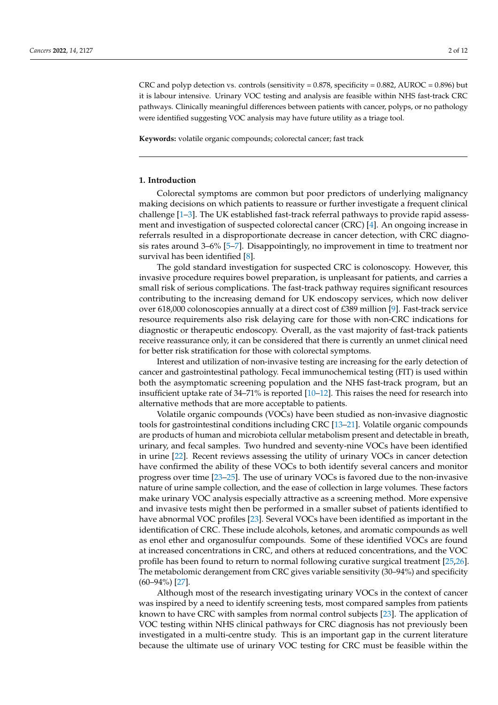CRC and polyp detection vs. controls (sensitivity =  $0.878$ , specificity =  $0.882$ , AUROC =  $0.896$ ) but it is labour intensive. Urinary VOC testing and analysis are feasible within NHS fast-track CRC pathways. Clinically meaningful differences between patients with cancer, polyps, or no pathology were identified suggesting VOC analysis may have future utility as a triage tool.

**Keywords:** volatile organic compounds; colorectal cancer; fast track

## **1. Introduction**

Colorectal symptoms are common but poor predictors of underlying malignancy making decisions on which patients to reassure or further investigate a frequent clinical challenge [\[1–](#page-10-0)[3\]](#page-10-1). The UK established fast-track referral pathways to provide rapid assessment and investigation of suspected colorectal cancer (CRC) [\[4\]](#page-10-2). An ongoing increase in referrals resulted in a disproportionate decrease in cancer detection, with CRC diagnosis rates around 3–6% [\[5–](#page-10-3)[7\]](#page-10-4). Disappointingly, no improvement in time to treatment nor survival has been identified [\[8\]](#page-10-5).

The gold standard investigation for suspected CRC is colonoscopy. However, this invasive procedure requires bowel preparation, is unpleasant for patients, and carries a small risk of serious complications. The fast-track pathway requires significant resources contributing to the increasing demand for UK endoscopy services, which now deliver over 618,000 colonoscopies annually at a direct cost of £389 million [\[9\]](#page-10-6). Fast-track service resource requirements also risk delaying care for those with non-CRC indications for diagnostic or therapeutic endoscopy. Overall, as the vast majority of fast-track patients receive reassurance only, it can be considered that there is currently an unmet clinical need for better risk stratification for those with colorectal symptoms.

Interest and utilization of non-invasive testing are increasing for the early detection of cancer and gastrointestinal pathology. Fecal immunochemical testing (FIT) is used within both the asymptomatic screening population and the NHS fast-track program, but an insufficient uptake rate of 34–71% is reported [\[10–](#page-10-7)[12\]](#page-10-8). This raises the need for research into alternative methods that are more acceptable to patients.

Volatile organic compounds (VOCs) have been studied as non-invasive diagnostic tools for gastrointestinal conditions including CRC [\[13–](#page-10-9)[21\]](#page-10-10). Volatile organic compounds are products of human and microbiota cellular metabolism present and detectable in breath, urinary, and fecal samples. Two hundred and seventy-nine VOCs have been identified in urine [\[22\]](#page-10-11). Recent reviews assessing the utility of urinary VOCs in cancer detection have confirmed the ability of these VOCs to both identify several cancers and monitor progress over time [\[23](#page-10-12)[–25\]](#page-11-0). The use of urinary VOCs is favored due to the non-invasive nature of urine sample collection, and the ease of collection in large volumes. These factors make urinary VOC analysis especially attractive as a screening method. More expensive and invasive tests might then be performed in a smaller subset of patients identified to have abnormal VOC profiles [\[23\]](#page-10-12). Several VOCs have been identified as important in the identification of CRC. These include alcohols, ketones, and aromatic compounds as well as enol ether and organosulfur compounds. Some of these identified VOCs are found at increased concentrations in CRC, and others at reduced concentrations, and the VOC profile has been found to return to normal following curative surgical treatment [\[25,](#page-11-0)[26\]](#page-11-1). The metabolomic derangement from CRC gives variable sensitivity (30–94%) and specificity (60–94%) [\[27\]](#page-11-2).

Although most of the research investigating urinary VOCs in the context of cancer was inspired by a need to identify screening tests, most compared samples from patients known to have CRC with samples from normal control subjects [\[23\]](#page-10-12). The application of VOC testing within NHS clinical pathways for CRC diagnosis has not previously been investigated in a multi-centre study. This is an important gap in the current literature because the ultimate use of urinary VOC testing for CRC must be feasible within the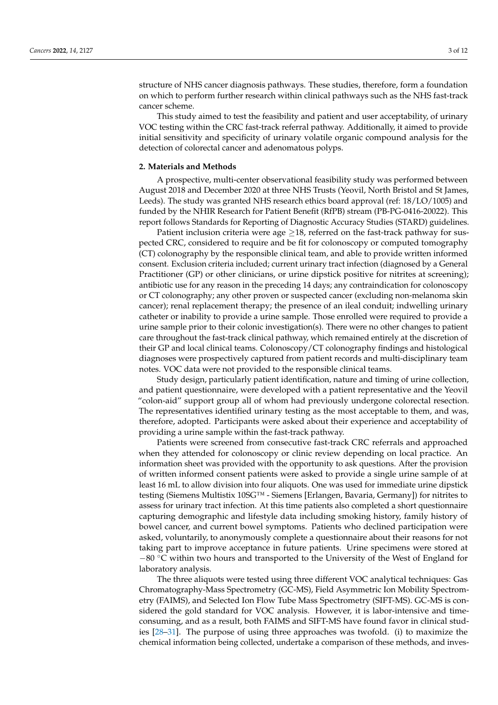structure of NHS cancer diagnosis pathways. These studies, therefore, form a foundation on which to perform further research within clinical pathways such as the NHS fast-track cancer scheme.

This study aimed to test the feasibility and patient and user acceptability, of urinary VOC testing within the CRC fast-track referral pathway. Additionally, it aimed to provide initial sensitivity and specificity of urinary volatile organic compound analysis for the detection of colorectal cancer and adenomatous polyps.

#### **2. Materials and Methods**

A prospective, multi-center observational feasibility study was performed between August 2018 and December 2020 at three NHS Trusts (Yeovil, North Bristol and St James, Leeds). The study was granted NHS research ethics board approval (ref: 18/LO/1005) and funded by the NHIR Research for Patient Benefit (RfPB) stream (PB-PG-0416-20022). This report follows Standards for Reporting of Diagnostic Accuracy Studies (STARD) guidelines.

Patient inclusion criteria were age  $\geq$ 18, referred on the fast-track pathway for suspected CRC, considered to require and be fit for colonoscopy or computed tomography (CT) colonography by the responsible clinical team, and able to provide written informed consent. Exclusion criteria included; current urinary tract infection (diagnosed by a General Practitioner (GP) or other clinicians, or urine dipstick positive for nitrites at screening); antibiotic use for any reason in the preceding 14 days; any contraindication for colonoscopy or CT colonography; any other proven or suspected cancer (excluding non-melanoma skin cancer); renal replacement therapy; the presence of an ileal conduit; indwelling urinary catheter or inability to provide a urine sample. Those enrolled were required to provide a urine sample prior to their colonic investigation(s). There were no other changes to patient care throughout the fast-track clinical pathway, which remained entirely at the discretion of their GP and local clinical teams. Colonoscopy/CT colonography findings and histological diagnoses were prospectively captured from patient records and multi-disciplinary team notes. VOC data were not provided to the responsible clinical teams.

Study design, particularly patient identification, nature and timing of urine collection, and patient questionnaire, were developed with a patient representative and the Yeovil "colon-aid" support group all of whom had previously undergone colorectal resection. The representatives identified urinary testing as the most acceptable to them, and was, therefore, adopted. Participants were asked about their experience and acceptability of providing a urine sample within the fast-track pathway.

Patients were screened from consecutive fast-track CRC referrals and approached when they attended for colonoscopy or clinic review depending on local practice. An information sheet was provided with the opportunity to ask questions. After the provision of written informed consent patients were asked to provide a single urine sample of at least 16 mL to allow division into four aliquots. One was used for immediate urine dipstick testing (Siemens Multistix 10SG™ - Siemens [Erlangen, Bavaria, Germany]) for nitrites to assess for urinary tract infection. At this time patients also completed a short questionnaire capturing demographic and lifestyle data including smoking history, family history of bowel cancer, and current bowel symptoms. Patients who declined participation were asked, voluntarily, to anonymously complete a questionnaire about their reasons for not taking part to improve acceptance in future patients. Urine specimens were stored at −80 ◦C within two hours and transported to the University of the West of England for laboratory analysis.

The three aliquots were tested using three different VOC analytical techniques: Gas Chromatography-Mass Spectrometry (GC-MS), Field Asymmetric Ion Mobility Spectrometry (FAIMS), and Selected Ion Flow Tube Mass Spectrometry (SIFT-MS). GC-MS is considered the gold standard for VOC analysis. However, it is labor-intensive and timeconsuming, and as a result, both FAIMS and SIFT-MS have found favor in clinical studies [\[28–](#page-11-3)[31\]](#page-11-4). The purpose of using three approaches was twofold. (i) to maximize the chemical information being collected, undertake a comparison of these methods, and inves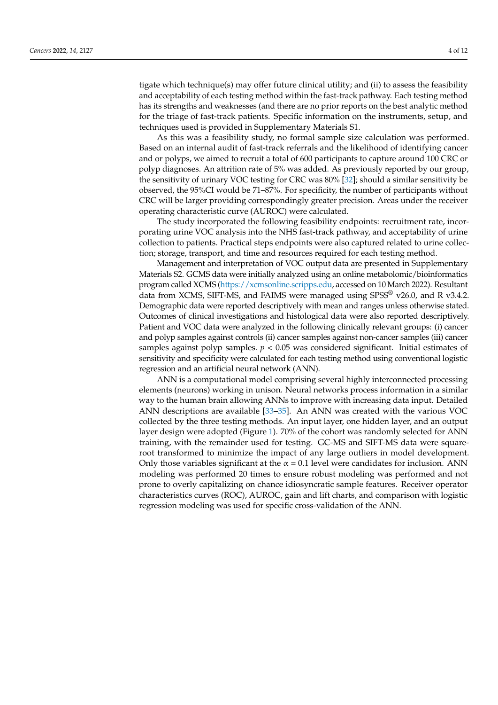tigate which technique(s) may offer future clinical utility; and (ii) to assess the feasibility and acceptability of each testing method within the fast-track pathway. Each testing method has its strengths and weaknesses (and there are no prior reports on the best analytic method for the triage of fast-track patients. Specific information on the instruments, setup, and techniques used is provided in Supplementary Materials S1.

As this was a feasibility study, no formal sample size calculation was performed. Based on an internal audit of fast-track referrals and the likelihood of identifying cancer and or polyps, we aimed to recruit a total of 600 participants to capture around 100 CRC or polyp diagnoses. An attrition rate of 5% was added. As previously reported by our group, the sensitivity of urinary VOC testing for CRC was 80% [\[32\]](#page-11-5); should a similar sensitivity be observed, the 95%CI would be 71–87%. For specificity, the number of participants without CRC will be larger providing correspondingly greater precision. Areas under the receiver operating characteristic curve (AUROC) were calculated.

The study incorporated the following feasibility endpoints: recruitment rate, incorporating urine VOC analysis into the NHS fast-track pathway, and acceptability of urine collection to patients. Practical steps endpoints were also captured related to urine collection; storage, transport, and time and resources required for each testing method.

Management and interpretation of VOC output data are presented in Supplementary Materials S2. GCMS data were initially analyzed using an online metabolomic/bioinformatics program called XCMS [\(https://xcmsonline.scripps.edu,](https://xcmsonline.scripps.edu) accessed on 10 March 2022). Resultant data from XCMS, SIFT-MS, and FAIMS were managed using SPSS<sup>®</sup> v26.0, and R v3.4.2. Demographic data were reported descriptively with mean and ranges unless otherwise stated. Outcomes of clinical investigations and histological data were also reported descriptively. Patient and VOC data were analyzed in the following clinically relevant groups: (i) cancer and polyp samples against controls (ii) cancer samples against non-cancer samples (iii) cancer samples against polyp samples. *p* < 0.05 was considered significant. Initial estimates of sensitivity and specificity were calculated for each testing method using conventional logistic regression and an artificial neural network (ANN).

ANN is a computational model comprising several highly interconnected processing elements (neurons) working in unison. Neural networks process information in a similar way to the human brain allowing ANNs to improve with increasing data input. Detailed ANN descriptions are available [\[33](#page-11-6)[–35\]](#page-11-7). An ANN was created with the various VOC collected by the three testing methods. An input layer, one hidden layer, and an output layer design were adopted (Figure [1\)](#page-4-0). 70% of the cohort was randomly selected for ANN training, with the remainder used for testing. GC-MS and SIFT-MS data were squareroot transformed to minimize the impact of any large outliers in model development. Only those variables significant at the  $\alpha = 0.1$  level were candidates for inclusion. ANN modeling was performed 20 times to ensure robust modeling was performed and not prone to overly capitalizing on chance idiosyncratic sample features. Receiver operator characteristics curves (ROC), AUROC, gain and lift charts, and comparison with logistic regression modeling was used for specific cross-validation of the ANN.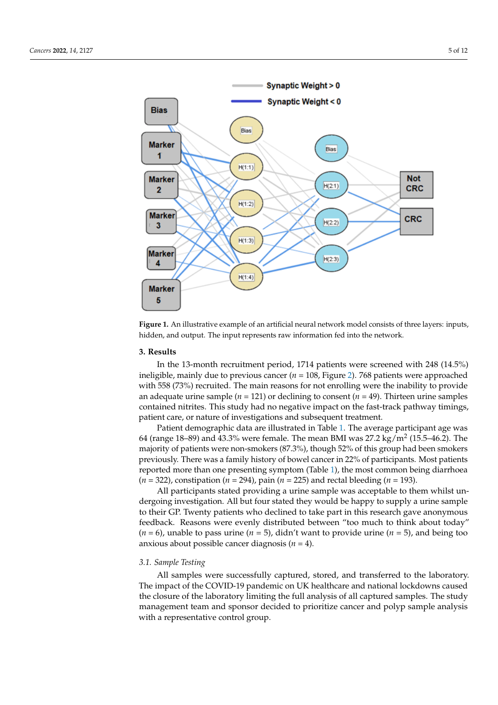<span id="page-4-0"></span>

Figure 1. An illustrative example of an artificial neural network model consists of three layers: inputs, hidden, and output. The input represents raw information fed into the network.

# **3. Results 3. Results**

In the 13-month recruitment period, 1714 patients were screened with 248 (14.5%) In the 13-month recruitment period, 1714 patients were screened with 248 (14.5%) ineligible, mainly due to previous cancer (*n* = 108, Figure 2). [768](#page-5-0) patients were approached ineligible, mainly due to previous cancer (*n* = 108, Figure 2). 768 patients were approached with 558 (73%) recruited. The main reasons for not enrolling were the inability to provide an adequate urine sample (*n* = 121) or declining to consent (*n* = 49). Thirteen urine samples an adequate urine sample (*n* = 121) or declining to consent (*n* = 49). Thirteen urine samples contained nitrites. This study had no negative impact on the fast-track pathway timings, contained nitrites. This study had no negative impact on the fast-track pathway timings, patient care, or nature of investigations and subsequent treatment. patient care, or nature of investigations and subsequent treatment.

Patient demographic data are illustrated in Table 1. [Th](#page-5-1)e average participant age was Patient demographic data are illustrated in Table 1. The average participant age was 64 (range 18-89) and 43.3% were female. The mean BMI was  $27.2 \text{ kg/m}^2$  (15.5-46.2). The majority of patients were non-smokers (87.3%), though 52% of this group had been smokers previously. There was a family history of bowel cancer in 22% of participants. Most patients reported more than one presenting symptom [\(T](#page-5-1)able 1), the most common being diarrhoea  $(n = 322)$ , constipation  $(n = 294)$ , pain  $(n = 225)$  and rectal bleeding  $(n = 193)$ .

All participants stated providing a urine sample was acceptable to them whilst un-All participants stated providing a urine sample was acceptable to them whilst undergoing investigation. All but four stated they would be happy to supply a urine sample dergoing investigation. All but four stated they would be happy to supply a urine sample to their GP. Twenty patients who declined to take part in this research gave anonymous to their GP. Twenty patients who declined to take part in this research gave anonymous feedback. Reasons were evenly distributed between "too much to think about today"  $(n = 6)$ , unable to pass urine  $(n = 5)$ , didn't want to provide urine  $(n = 5)$ , and being too anxious about possible cancer diagnosis  $(n = 4)$ .

#### *3.1. Sample Testing*

All samples were successfully captured, stored, and transferred to the laboratory. The impact of the COVID-19 pandemic on UK healthcare and national lockdowns caused the closure of the laboratory limiting the full analysis of all captured samples. The study management team and sponsor decided to prioritize cancer and polyp sample analysis with a representative control group.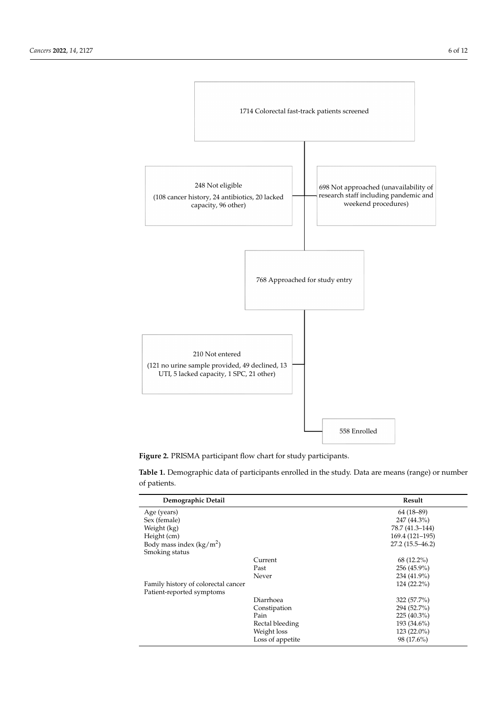<span id="page-5-0"></span>

**Figure 2.** PRISMA participant flow chart for study participants. **Figure 2.** PRISMA participant flow chart for study participants.

<span id="page-5-1"></span>**Table 1.** Demographic data of participants enrolled in the study. Data are means (range) or number **Table 1.** Demographic data of participants enrolled in the study. Data are means (range) or number of patients. of patients.

| Demographic Detail                  |                  | Result              |
|-------------------------------------|------------------|---------------------|
| Age (years)                         |                  | $64(18-89)$         |
| Sex (female)                        |                  | 247 (44.3%)         |
| Weight (kg)                         |                  | 78.7 (41.3-144)     |
| Height (cm)                         |                  | 169.4 (121-195)     |
| Body mass index $(kg/m^2)$          |                  | $27.2(15.5 - 46.2)$ |
| Smoking status                      |                  |                     |
|                                     | Current          | $68(12.2\%)$        |
|                                     | Past             | 256 (45.9%)         |
|                                     | Never            | 234 (41.9%)         |
| Family history of colorectal cancer |                  | 124 (22.2%)         |
| Patient-reported symptoms           |                  |                     |
|                                     | Diarrhoea        | 322 (57.7%)         |
|                                     | Constipation     | 294 (52.7%)         |
|                                     | Pain             | $225(40.3\%)$       |
|                                     | Rectal bleeding  | 193 (34.6%)         |
|                                     | Weight loss      | $123(22.0\%)$       |
|                                     | Loss of appetite | 98 (17.6%)          |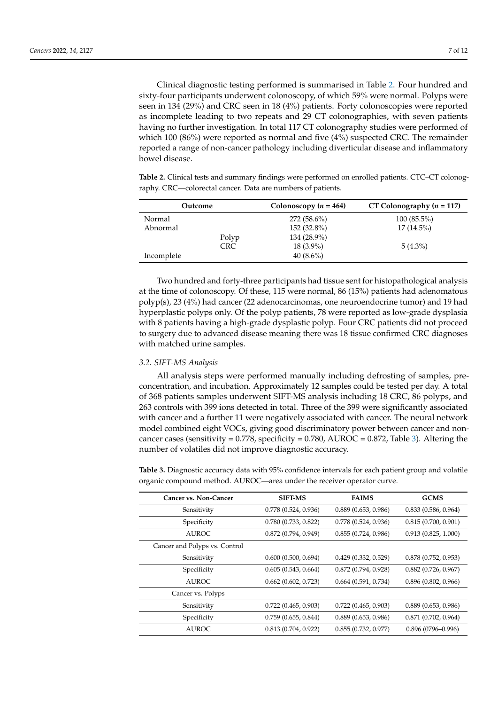Clinical diagnostic testing performed is summarised in Table [2.](#page-6-0) Four hundred and sixty-four participants underwent colonoscopy, of which 59% were normal. Polyps were seen in 134 (29%) and CRC seen in 18 (4%) patients. Forty colonoscopies were reported as incomplete leading to two repeats and 29 CT colonographies, with seven patients having no further investigation. In total 117 CT colonography studies were performed of which 100 (86%) were reported as normal and five (4%) suspected CRC. The remainder reported a range of non-cancer pathology including diverticular disease and inflammatory bowel disease.

<span id="page-6-0"></span>**Table 2.** Clinical tests and summary findings were performed on enrolled patients. CTC–CT colonography. CRC—colorectal cancer. Data are numbers of patients.

| Outcome    |            | Colonoscopy ( $n = 464$ ) | CT Colonography ( $n = 117$ ) |
|------------|------------|---------------------------|-------------------------------|
| Normal     |            | $272(58.6\%)$             | $100(85.5\%)$                 |
| Abnormal   |            | $152(32.8\%)$             | $17(14.5\%)$                  |
|            | Polyp      | 134 (28.9%)               |                               |
|            | <b>CRC</b> | $18(3.9\%)$               | $5(4.3\%)$                    |
| Incomplete |            | $40(8.6\%)$               |                               |

Two hundred and forty-three participants had tissue sent for histopathological analysis at the time of colonoscopy. Of these, 115 were normal, 86 (15%) patients had adenomatous polyp(s), 23 (4%) had cancer (22 adenocarcinomas, one neuroendocrine tumor) and 19 had hyperplastic polyps only. Of the polyp patients, 78 were reported as low-grade dysplasia with 8 patients having a high-grade dysplastic polyp. Four CRC patients did not proceed to surgery due to advanced disease meaning there was 18 tissue confirmed CRC diagnoses with matched urine samples.

#### *3.2. SIFT-MS Analysis*

All analysis steps were performed manually including defrosting of samples, preconcentration, and incubation. Approximately 12 samples could be tested per day. A total of 368 patients samples underwent SIFT-MS analysis including 18 CRC, 86 polyps, and 263 controls with 399 ions detected in total. Three of the 399 were significantly associated with cancer and a further 11 were negatively associated with cancer. The neural network model combined eight VOCs, giving good discriminatory power between cancer and noncancer cases (sensitivity =  $0.778$ , specificity =  $0.780$ , AUROC =  $0.872$ , Table [3\)](#page-6-1). Altering the number of volatiles did not improve diagnostic accuracy.

<span id="page-6-1"></span>**Table 3.** Diagnostic accuracy data with 95% confidence intervals for each patient group and volatile organic compound method. AUROC—area under the receiver operator curve.

| <b>Cancer vs. Non-Cancer</b>  | <b>SIFT-MS</b>      | <b>FAIMS</b>        | <b>GCMS</b>           |
|-------------------------------|---------------------|---------------------|-----------------------|
| Sensitivity                   | 0.778(0.524, 0.936) | 0.889(0.653, 0.986) | 0.833(0.586, 0.964)   |
| Specificity                   | 0.780(0.733, 0.822) | 0.778(0.524, 0.936) | 0.815(0.700, 0.901)   |
| <b>AUROC</b>                  | 0.872(0.794, 0.949) | 0.855(0.724, 0.986) | 0.913(0.825, 1.000)   |
| Cancer and Polyps vs. Control |                     |                     |                       |
| Sensitivity                   | 0.600(0.500, 0.694) | 0.429(0.332, 0.529) | 0.878(0.752, 0.953)   |
| Specificity                   | 0.605(0.543, 0.664) | 0.872(0.794, 0.928) | 0.882(0.726, 0.967)   |
| <b>AUROC</b>                  | 0.662(0.602, 0.723) | 0.664(0.591, 0.734) | 0.896(0.802, 0.966)   |
| Cancer vs. Polyps             |                     |                     |                       |
| Sensitivity                   | 0.722(0.465, 0.903) | 0.722(0.465, 0.903) | 0.889(0.653, 0.986)   |
| Specificity                   | 0.759(0.655, 0.844) | 0.889(0.653, 0.986) | 0.871(0.702, 0.964)   |
| <b>AUROC</b>                  | 0.813(0.704, 0.922) | 0.855(0.732, 0.977) | $0.896(0796 - 0.996)$ |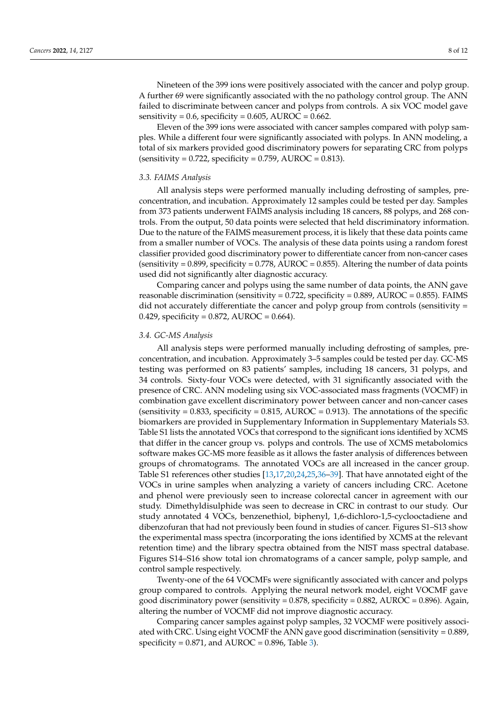Nineteen of the 399 ions were positively associated with the cancer and polyp group. A further 69 were significantly associated with the no pathology control group. The ANN failed to discriminate between cancer and polyps from controls. A six VOC model gave sensitivity =  $0.6$ , specificity =  $0.605$ , AUROC =  $0.662$ .

Eleven of the 399 ions were associated with cancer samples compared with polyp samples. While a different four were significantly associated with polyps. In ANN modeling, a total of six markers provided good discriminatory powers for separating CRC from polyps  $(sensitivity = 0.722, specificity = 0.759, AUROC = 0.813).$ 

#### *3.3. FAIMS Analysis*

All analysis steps were performed manually including defrosting of samples, preconcentration, and incubation. Approximately 12 samples could be tested per day. Samples from 373 patients underwent FAIMS analysis including 18 cancers, 88 polyps, and 268 controls. From the output, 50 data points were selected that held discriminatory information. Due to the nature of the FAIMS measurement process, it is likely that these data points came from a smaller number of VOCs. The analysis of these data points using a random forest classifier provided good discriminatory power to differentiate cancer from non-cancer cases (sensitivity =  $0.899$ , specificity =  $0.778$ , AUROC =  $0.855$ ). Altering the number of data points used did not significantly alter diagnostic accuracy.

Comparing cancer and polyps using the same number of data points, the ANN gave reasonable discrimination (sensitivity =  $0.722$ , specificity =  $0.889$ , AUROC =  $0.855$ ). FAIMS did not accurately differentiate the cancer and polyp group from controls (sensitivity = 0.429, specificity = 0.872, AUROC = 0.664).

#### *3.4. GC-MS Analysis*

All analysis steps were performed manually including defrosting of samples, preconcentration, and incubation. Approximately 3–5 samples could be tested per day. GC-MS testing was performed on 83 patients' samples, including 18 cancers, 31 polyps, and 34 controls. Sixty-four VOCs were detected, with 31 significantly associated with the presence of CRC. ANN modeling using six VOC-associated mass fragments (VOCMF) in combination gave excellent discriminatory power between cancer and non-cancer cases (sensitivity =  $0.833$ , specificity =  $0.815$ , AUROC =  $0.913$ ). The annotations of the specific biomarkers are provided in Supplementary Information in Supplementary Materials S3. Table S1 lists the annotated VOCs that correspond to the significant ions identified by XCMS that differ in the cancer group vs. polyps and controls. The use of XCMS metabolomics software makes GC-MS more feasible as it allows the faster analysis of differences between groups of chromatograms. The annotated VOCs are all increased in the cancer group. Table S1 references other studies [\[13,](#page-10-9)[17,](#page-10-13)[20,](#page-10-14)[24,](#page-11-8)[25,](#page-11-0)[36–](#page-11-9)[39\]](#page-11-10). That have annotated eight of the VOCs in urine samples when analyzing a variety of cancers including CRC. Acetone and phenol were previously seen to increase colorectal cancer in agreement with our study. Dimethyldisulphide was seen to decrease in CRC in contrast to our study. Our study annotated 4 VOCs, benzenethiol, biphenyl, 1,6-dichloro-1,5-cyclooctadiene and dibenzofuran that had not previously been found in studies of cancer. Figures S1–S13 show the experimental mass spectra (incorporating the ions identified by XCMS at the relevant retention time) and the library spectra obtained from the NIST mass spectral database. Figures S14–S16 show total ion chromatograms of a cancer sample, polyp sample, and control sample respectively.

Twenty-one of the 64 VOCMFs were significantly associated with cancer and polyps group compared to controls. Applying the neural network model, eight VOCMF gave good discriminatory power (sensitivity =  $0.878$ , specificity =  $0.882$ , AUROC =  $0.896$ ). Again, altering the number of VOCMF did not improve diagnostic accuracy.

Comparing cancer samples against polyp samples, 32 VOCMF were positively associated with CRC. Using eight VOCMF the ANN gave good discrimination (sensitivity = 0.889, specificity =  $0.871$ , and AUROC =  $0.896$ , Table [3\)](#page-6-1).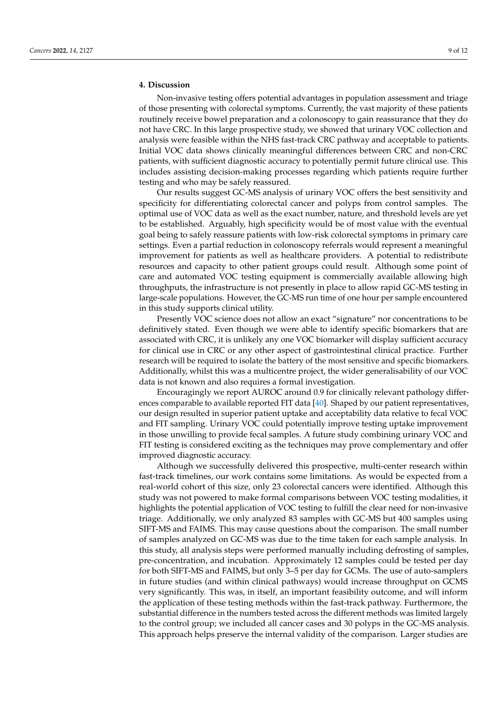Non-invasive testing offers potential advantages in population assessment and triage of those presenting with colorectal symptoms. Currently, the vast majority of these patients routinely receive bowel preparation and a colonoscopy to gain reassurance that they do not have CRC. In this large prospective study, we showed that urinary VOC collection and analysis were feasible within the NHS fast-track CRC pathway and acceptable to patients. Initial VOC data shows clinically meaningful differences between CRC and non-CRC patients, with sufficient diagnostic accuracy to potentially permit future clinical use. This includes assisting decision-making processes regarding which patients require further testing and who may be safely reassured.

Our results suggest GC-MS analysis of urinary VOC offers the best sensitivity and specificity for differentiating colorectal cancer and polyps from control samples. The optimal use of VOC data as well as the exact number, nature, and threshold levels are yet to be established. Arguably, high specificity would be of most value with the eventual goal being to safely reassure patients with low-risk colorectal symptoms in primary care settings. Even a partial reduction in colonoscopy referrals would represent a meaningful improvement for patients as well as healthcare providers. A potential to redistribute resources and capacity to other patient groups could result. Although some point of care and automated VOC testing equipment is commercially available allowing high throughputs, the infrastructure is not presently in place to allow rapid GC-MS testing in large-scale populations. However, the GC-MS run time of one hour per sample encountered in this study supports clinical utility.

Presently VOC science does not allow an exact "signature" nor concentrations to be definitively stated. Even though we were able to identify specific biomarkers that are associated with CRC, it is unlikely any one VOC biomarker will display sufficient accuracy for clinical use in CRC or any other aspect of gastrointestinal clinical practice. Further research will be required to isolate the battery of the most sensitive and specific biomarkers. Additionally, whilst this was a multicentre project, the wider generalisability of our VOC data is not known and also requires a formal investigation.

Encouragingly we report AUROC around 0.9 for clinically relevant pathology differences comparable to available reported FIT data [\[40\]](#page-11-11). Shaped by our patient representatives, our design resulted in superior patient uptake and acceptability data relative to fecal VOC and FIT sampling. Urinary VOC could potentially improve testing uptake improvement in those unwilling to provide fecal samples. A future study combining urinary VOC and FIT testing is considered exciting as the techniques may prove complementary and offer improved diagnostic accuracy.

Although we successfully delivered this prospective, multi-center research within fast-track timelines, our work contains some limitations. As would be expected from a real-world cohort of this size, only 23 colorectal cancers were identified. Although this study was not powered to make formal comparisons between VOC testing modalities, it highlights the potential application of VOC testing to fulfill the clear need for non-invasive triage. Additionally, we only analyzed 83 samples with GC-MS but 400 samples using SIFT-MS and FAIMS. This may cause questions about the comparison. The small number of samples analyzed on GC-MS was due to the time taken for each sample analysis. In this study, all analysis steps were performed manually including defrosting of samples, pre-concentration, and incubation. Approximately 12 samples could be tested per day for both SIFT-MS and FAIMS, but only 3–5 per day for GCMs. The use of auto-samplers in future studies (and within clinical pathways) would increase throughput on GCMS very significantly. This was, in itself, an important feasibility outcome, and will inform the application of these testing methods within the fast-track pathway. Furthermore, the substantial difference in the numbers tested across the different methods was limited largely to the control group; we included all cancer cases and 30 polyps in the GC-MS analysis. This approach helps preserve the internal validity of the comparison. Larger studies are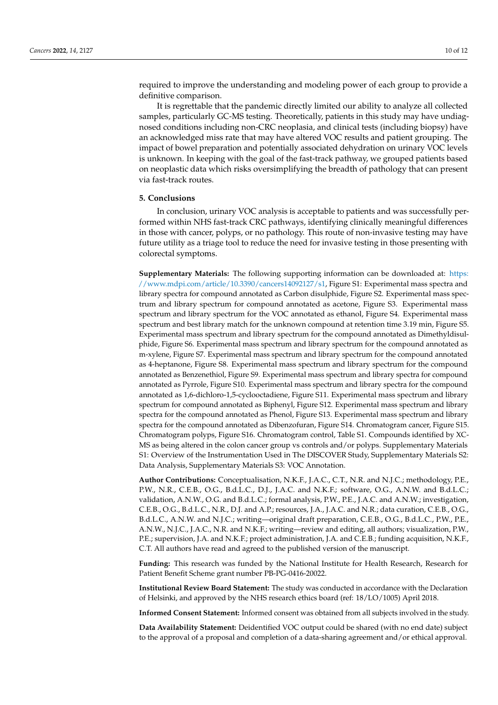required to improve the understanding and modeling power of each group to provide a definitive comparison.

It is regrettable that the pandemic directly limited our ability to analyze all collected samples, particularly GC-MS testing. Theoretically, patients in this study may have undiagnosed conditions including non-CRC neoplasia, and clinical tests (including biopsy) have an acknowledged miss rate that may have altered VOC results and patient grouping. The impact of bowel preparation and potentially associated dehydration on urinary VOC levels is unknown. In keeping with the goal of the fast-track pathway, we grouped patients based on neoplastic data which risks oversimplifying the breadth of pathology that can present via fast-track routes.

## **5. Conclusions**

In conclusion, urinary VOC analysis is acceptable to patients and was successfully performed within NHS fast-track CRC pathways, identifying clinically meaningful differences in those with cancer, polyps, or no pathology. This route of non-invasive testing may have future utility as a triage tool to reduce the need for invasive testing in those presenting with colorectal symptoms.

**Supplementary Materials:** The following supporting information can be downloaded at: [https:](https://www.mdpi.com/article/10.3390/cancers14092127/s1) [//www.mdpi.com/article/10.3390/cancers14092127/s1,](https://www.mdpi.com/article/10.3390/cancers14092127/s1) Figure S1: Experimental mass spectra and library spectra for compound annotated as Carbon disulphide, Figure S2. Experimental mass spectrum and library spectrum for compound annotated as acetone, Figure S3. Experimental mass spectrum and library spectrum for the VOC annotated as ethanol, Figure S4. Experimental mass spectrum and best library match for the unknown compound at retention time 3.19 min, Figure S5. Experimental mass spectrum and library spectrum for the compound annotated as Dimethyldisulphide, Figure S6. Experimental mass spectrum and library spectrum for the compound annotated as m-xylene, Figure S7. Experimental mass spectrum and library spectrum for the compound annotated as 4-heptanone, Figure S8. Experimental mass spectrum and library spectrum for the compound annotated as Benzenethiol, Figure S9. Experimental mass spectrum and library spectra for compound annotated as Pyrrole, Figure S10. Experimental mass spectrum and library spectra for the compound annotated as 1,6-dichloro-1,5-cyclooctadiene, Figure S11. Experimental mass spectrum and library spectrum for compound annotated as Biphenyl, Figure S12. Experimental mass spectrum and library spectra for the compound annotated as Phenol, Figure S13. Experimental mass spectrum and library spectra for the compound annotated as Dibenzofuran, Figure S14. Chromatogram cancer, Figure S15. Chromatogram polyps, Figure S16. Chromatogram control, Table S1. Compounds identified by XC-MS as being altered in the colon cancer group vs controls and/or polyps. Supplementary Materials S1: Overview of the Instrumentation Used in The DISCOVER Study, Supplementary Materials S2: Data Analysis, Supplementary Materials S3: VOC Annotation.

**Author Contributions:** Conceptualisation, N.K.F., J.A.C., C.T., N.R. and N.J.C.; methodology, P.E., P.W., N.R., C.E.B., O.G., B.d.L.C., D.J., J.A.C. and N.K.F.; software, O.G., A.N.W. and B.d.L.C.; validation, A.N.W., O.G. and B.d.L.C.; formal analysis, P.W., P.E., J.A.C. and A.N.W.; investigation, C.E.B., O.G., B.d.L.C., N.R., D.J. and A.P.; resources, J.A., J.A.C. and N.R.; data curation, C.E.B., O.G., B.d.L.C., A.N.W. and N.J.C.; writing—original draft preparation, C.E.B., O.G., B.d.L.C., P.W., P.E., A.N.W., N.J.C., J.A.C., N.R. and N.K.F.; writing—review and editing, all authors; visualization, P.W., P.E.; supervision, J.A. and N.K.F.; project administration, J.A. and C.E.B.; funding acquisition, N.K.F., C.T. All authors have read and agreed to the published version of the manuscript.

**Funding:** This research was funded by the National Institute for Health Research, Research for Patient Benefit Scheme grant number PB-PG-0416-20022.

**Institutional Review Board Statement:** The study was conducted in accordance with the Declaration of Helsinki, and approved by the NHS research ethics board (ref: 18/LO/1005) April 2018.

**Informed Consent Statement:** Informed consent was obtained from all subjects involved in the study.

**Data Availability Statement:** Deidentified VOC output could be shared (with no end date) subject to the approval of a proposal and completion of a data-sharing agreement and/or ethical approval.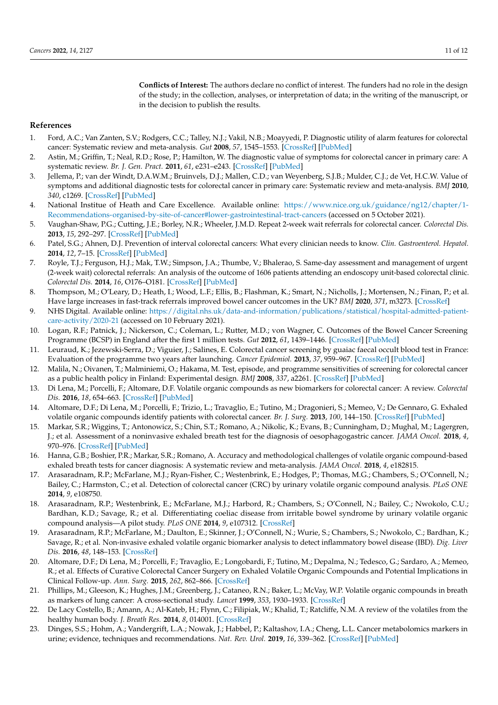**Conflicts of Interest:** The authors declare no conflict of interest. The funders had no role in the design of the study; in the collection, analyses, or interpretation of data; in the writing of the manuscript, or in the decision to publish the results.

## **References**

- <span id="page-10-0"></span>1. Ford, A.C.; Van Zanten, S.V.; Rodgers, C.C.; Talley, N.J.; Vakil, N.B.; Moayyedi, P. Diagnostic utility of alarm features for colorectal cancer: Systematic review and meta-analysis. *Gut* **2008**, *57*, 1545–1553. [\[CrossRef\]](http://doi.org/10.1136/gut.2008.159723) [\[PubMed\]](http://www.ncbi.nlm.nih.gov/pubmed/18676420)
- 2. Astin, M.; Griffin, T.; Neal, R.D.; Rose, P.; Hamilton, W. The diagnostic value of symptoms for colorectal cancer in primary care: A systematic review. *Br. J. Gen. Pract.* **2011**, *61*, e231–e243. [\[CrossRef\]](http://doi.org/10.3399/bjgp11X572427) [\[PubMed\]](http://www.ncbi.nlm.nih.gov/pubmed/21619747)
- <span id="page-10-1"></span>3. Jellema, P.; van der Windt, D.A.W.M.; Bruinvels, D.J.; Mallen, C.D.; van Weyenberg, S.J.B.; Mulder, C.J.; de Vet, H.C.W. Value of symptoms and additional diagnostic tests for colorectal cancer in primary care: Systematic review and meta-analysis. *BMJ* **2010**, *340*, c1269. [\[CrossRef\]](http://doi.org/10.1136/bmj.c1269) [\[PubMed\]](http://www.ncbi.nlm.nih.gov/pubmed/20360221)
- <span id="page-10-2"></span>4. National Institue of Heath and Care Excellence. Available online: [https://www.nice.org.uk/guidance/ng12/chapter/1-](https://www.nice.org.uk/guidance/ng12/chapter/1-Recommendations-organised-by-site-of-cancer#lower-gastrointestinal-tract-cancers) [Recommendations-organised-by-site-of-cancer#lower-gastrointestinal-tract-cancers](https://www.nice.org.uk/guidance/ng12/chapter/1-Recommendations-organised-by-site-of-cancer#lower-gastrointestinal-tract-cancers) (accessed on 5 October 2021).
- <span id="page-10-3"></span>5. Vaughan-Shaw, P.G.; Cutting, J.E.; Borley, N.R.; Wheeler, J.M.D. Repeat 2-week wait referrals for colorectal cancer. *Colorectal Dis.* **2013**, *15*, 292–297. [\[CrossRef\]](http://doi.org/10.1111/j.1463-1318.2012.03173.x) [\[PubMed\]](http://www.ncbi.nlm.nih.gov/pubmed/22776207)
- 6. Patel, S.G.; Ahnen, D.J. Prevention of interval colorectal cancers: What every clinician needs to know. *Clin. Gastroenterol. Hepatol.* **2014**, *12*, 7–15. [\[CrossRef\]](http://doi.org/10.1016/j.cgh.2013.04.027) [\[PubMed\]](http://www.ncbi.nlm.nih.gov/pubmed/23639602)
- <span id="page-10-4"></span>7. Royle, T.J.; Ferguson, H.J.; Mak, T.W.; Simpson, J.A.; Thumbe, V.; Bhalerao, S. Same-day assessment and management of urgent (2-week wait) colorectal referrals: An analysis of the outcome of 1606 patients attending an endoscopy unit-based colorectal clinic. *Colorectal Dis.* **2014**, *16*, O176–O181. [\[CrossRef\]](http://doi.org/10.1111/codi.12508) [\[PubMed\]](http://www.ncbi.nlm.nih.gov/pubmed/24299144)
- <span id="page-10-5"></span>8. Thompson, M.; O'Leary, D.; Heath, I.; Wood, L.F.; Ellis, B.; Flashman, K.; Smart, N.; Nicholls, J.; Mortensen, N.; Finan, P.; et al. Have large increases in fast-track referrals improved bowel cancer outcomes in the UK? *BMJ* **2020**, *371*, m3273. [\[CrossRef\]](http://doi.org/10.1136/bmj.m3273)
- <span id="page-10-6"></span>9. NHS Digital. Available online: [https://digital.nhs.uk/data-and-information/publications/statistical/hospital-admitted-patient](https://digital.nhs.uk/data-and-information/publications/statistical/hospital-admitted-patient-care-activity/2020-21)[care-activity/2020-21](https://digital.nhs.uk/data-and-information/publications/statistical/hospital-admitted-patient-care-activity/2020-21) (accessed on 10 February 2021).
- <span id="page-10-7"></span>10. Logan, R.F.; Patnick, J.; Nickerson, C.; Coleman, L.; Rutter, M.D.; von Wagner, C. Outcomes of the Bowel Cancer Screening Programme (BCSP) in England after the first 1 million tests. *Gut* **2012**, *61*, 1439–1446. [\[CrossRef\]](http://doi.org/10.1136/gutjnl-2011-300843) [\[PubMed\]](http://www.ncbi.nlm.nih.gov/pubmed/22156981)
- 11. Leuraud, K.; Jezewski-Serra, D.; Viguier, J.; Salines, E. Colorectal cancer screening by guaiac faecal occult blood test in France: Evaluation of the programme two years after launching. *Cancer Epidemiol.* **2013**, *37*, 959–967. [\[CrossRef\]](http://doi.org/10.1016/j.canep.2013.07.008) [\[PubMed\]](http://www.ncbi.nlm.nih.gov/pubmed/24035240)
- <span id="page-10-8"></span>12. Malila, N.; Oivanen, T.; Malminiemi, O.; Hakama, M. Test, episode, and programme sensitivities of screening for colorectal cancer as a public health policy in Finland: Experimental design. *BMJ* **2008**, *337*, a2261. [\[CrossRef\]](http://doi.org/10.1136/bmj.a2261) [\[PubMed\]](http://www.ncbi.nlm.nih.gov/pubmed/19022840)
- <span id="page-10-9"></span>13. Di Lena, M.; Porcelli, F.; Altomare, D.F. Volatile organic compounds as new biomarkers for colorectal cancer: A review. *Colorectal Dis.* **2016**, *18*, 654–663. [\[CrossRef\]](http://doi.org/10.1111/codi.13271) [\[PubMed\]](http://www.ncbi.nlm.nih.gov/pubmed/26752703)
- 14. Altomare, D.F.; Di Lena, M.; Porcelli, F.; Trizio, L.; Travaglio, E.; Tutino, M.; Dragonieri, S.; Memeo, V.; De Gennaro, G. Exhaled volatile organic compounds identify patients with colorectal cancer. *Br. J. Surg.* **2013**, *100*, 144–150. [\[CrossRef\]](http://doi.org/10.1002/bjs.8942) [\[PubMed\]](http://www.ncbi.nlm.nih.gov/pubmed/23212621)
- 15. Markar, S.R.; Wiggins, T.; Antonowicz, S.; Chin, S.T.; Romano, A.; Nikolic, K.; Evans, B.; Cunningham, D.; Mughal, M.; Lagergren, J.; et al. Assessment of a noninvasive exhaled breath test for the diagnosis of oesophagogastric cancer. *JAMA Oncol.* **2018**, *4*, 970–976. [\[CrossRef\]](http://doi.org/10.1001/jamaoncol.2018.0991) [\[PubMed\]](http://www.ncbi.nlm.nih.gov/pubmed/29799976)
- 16. Hanna, G.B.; Boshier, P.R.; Markar, S.R.; Romano, A. Accuracy and methodological challenges of volatile organic compound-based exhaled breath tests for cancer diagnosis: A systematic review and meta-analysis. *JAMA Oncol.* **2018**, *4*, e182815.
- <span id="page-10-13"></span>17. Arasaradnam, R.P.; McFarlane, M.J.; Ryan-Fisher, C.; Westenbrink, E.; Hodges, P.; Thomas, M.G.; Chambers, S.; O'Connell, N.; Bailey, C.; Harmston, C.; et al. Detection of colorectal cancer (CRC) by urinary volatile organic compound analysis. *PLoS ONE* **2014**, *9*, e108750.
- 18. Arasaradnam, R.P.; Westenbrink, E.; McFarlane, M.J.; Harbord, R.; Chambers, S.; O'Connell, N.; Bailey, C.; Nwokolo, C.U.; Bardhan, K.D.; Savage, R.; et al. Differentiating coeliac disease from irritable bowel syndrome by urinary volatile organic compound analysis—A pilot study. *PLoS ONE* **2014**, *9*, e107312. [\[CrossRef\]](http://doi.org/10.1371/journal.pone.0107312)
- 19. Arasaradnam, R.P.; McFarlane, M.; Daulton, E.; Skinner, J.; O'Connell, N.; Wurie, S.; Chambers, S.; Nwokolo, C.; Bardhan, K.; Savage, R.; et al. Non-invasive exhaled volatile organic biomarker analysis to detect inflammatory bowel disease (IBD). *Dig. Liver Dis.* **2016**, *48*, 148–153. [\[CrossRef\]](http://doi.org/10.1016/j.dld.2015.10.013)
- <span id="page-10-14"></span>20. Altomare, D.F.; Di Lena, M.; Porcelli, F.; Travaglio, E.; Longobardi, F.; Tutino, M.; Depalma, N.; Tedesco, G.; Sardaro, A.; Memeo, R.; et al. Effects of Curative Colorectal Cancer Surgery on Exhaled Volatile Organic Compounds and Potential Implications in Clinical Follow-up. *Ann. Surg.* **2015**, *262*, 862–866. [\[CrossRef\]](http://doi.org/10.1097/SLA.0000000000001471)
- <span id="page-10-10"></span>21. Phillips, M.; Gleeson, K.; Hughes, J.M.; Greenberg, J.; Cataneo, R.N.; Baker, L.; McVay, W.P. Volatile organic compounds in breath as markers of lung cancer: A cross-sectional study. *Lancet* **1999**, *353*, 1930–1933. [\[CrossRef\]](http://doi.org/10.1016/S0140-6736(98)07552-7)
- <span id="page-10-11"></span>22. De Lacy Costello, B.; Amann, A.; Al-Kateb, H.; Flynn, C.; Filipiak, W.; Khalid, T.; Ratcliffe, N.M. A review of the volatiles from the healthy human body. *J. Breath Res.* **2014**, *8*, 014001. [\[CrossRef\]](http://doi.org/10.1088/1752-7155/8/1/014001)
- <span id="page-10-12"></span>23. Dinges, S.S.; Hohm, A.; Vandergrift, L.A.; Nowak, J.; Habbel, P.; Kaltashov, I.A.; Cheng, L.L. Cancer metabolomics markers in urine; evidence, techniques and recommendations. *Nat. Rev. Urol.* **2019**, *16*, 339–362. [\[CrossRef\]](http://doi.org/10.1038/s41585-019-0185-3) [\[PubMed\]](http://www.ncbi.nlm.nih.gov/pubmed/31092915)